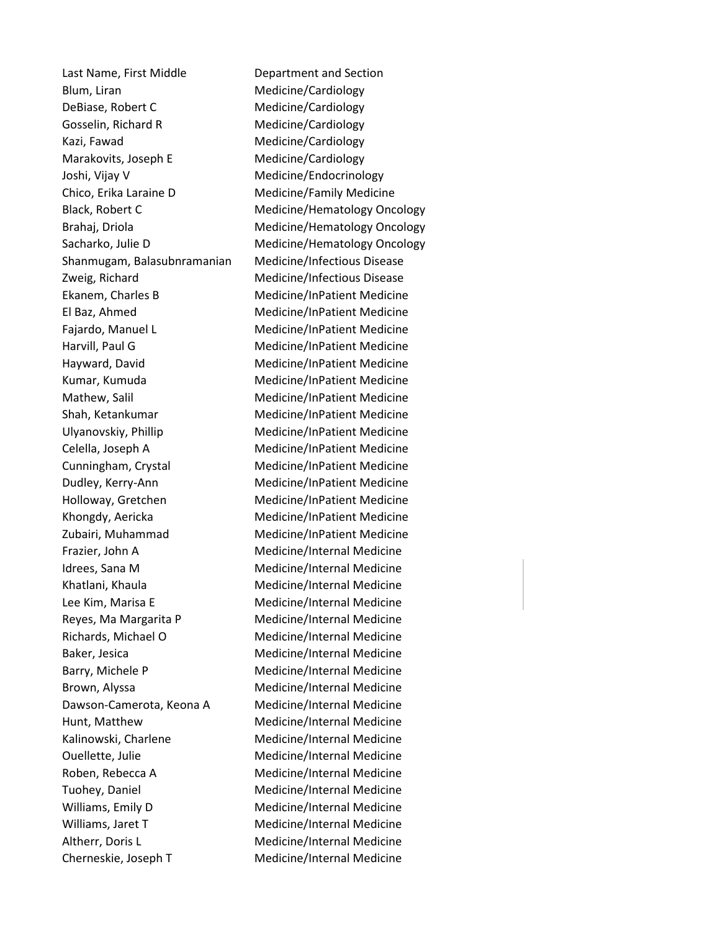Last Name, First Middle Department and Section Blum, Liran Medicine/Cardiology DeBiase, Robert C Medicine/Cardiology Gosselin, Richard R Medicine/Cardiology Kazi, Fawad **Medicine**/Cardiology Marakovits, Joseph E Medicine/Cardiology Joshi, Vijay V **Medicine**/Endocrinology Chico, Erika Laraine D Medicine/Family Medicine Black, Robert C Medicine/Hematology Oncology Brahaj, Driola Medicine/Hematology Oncology Sacharko, Julie D Medicine/Hematology Oncology Shanmugam, Balasubnramanian Medicine/Infectious Disease Zweig, Richard Medicine/Infectious Disease Ekanem, Charles B Medicine/InPatient Medicine El Baz, Ahmed Medicine/InPatient Medicine Fajardo, Manuel L Medicine/InPatient Medicine Harvill, Paul G Medicine/InPatient Medicine Hayward, David Medicine/InPatient Medicine Kumar, Kumuda Medicine/InPatient Medicine Mathew, Salil Medicine/InPatient Medicine Shah, Ketankumar Medicine/InPatient Medicine Ulyanovskiy, Phillip Medicine/InPatient Medicine Celella, Joseph A Medicine/InPatient Medicine Cunningham, Crystal Medicine/InPatient Medicine Dudley, Kerry-Ann Medicine/InPatient Medicine Holloway, Gretchen Medicine/InPatient Medicine Khongdy, Aericka Medicine/InPatient Medicine Zubairi, Muhammad Medicine/InPatient Medicine Frazier, John A Medicine/Internal Medicine Idrees, Sana M Medicine/Internal Medicine Khatlani, Khaula Medicine/Internal Medicine Lee Kim, Marisa E Medicine/Internal Medicine Reyes, Ma Margarita P Medicine/Internal Medicine Richards, Michael O Medicine/Internal Medicine Baker, Jesica **Medicine** Medicine/Internal Medicine Barry, Michele P Medicine/Internal Medicine Brown, Alyssa **Medicine**/Internal Medicine Dawson-Camerota, Keona A Medicine/Internal Medicine Hunt, Matthew Medicine/Internal Medicine Kalinowski, Charlene Medicine/Internal Medicine Ouellette, Julie Medicine/Internal Medicine Roben, Rebecca A Medicine/Internal Medicine Tuohey, Daniel Medicine/Internal Medicine Williams, Emily D Medicine/Internal Medicine Williams, Jaret T Medicine/Internal Medicine Altherr, Doris L<br>
Medicine/Internal Medicine

Cherneskie, Joseph T Medicine/Internal Medicine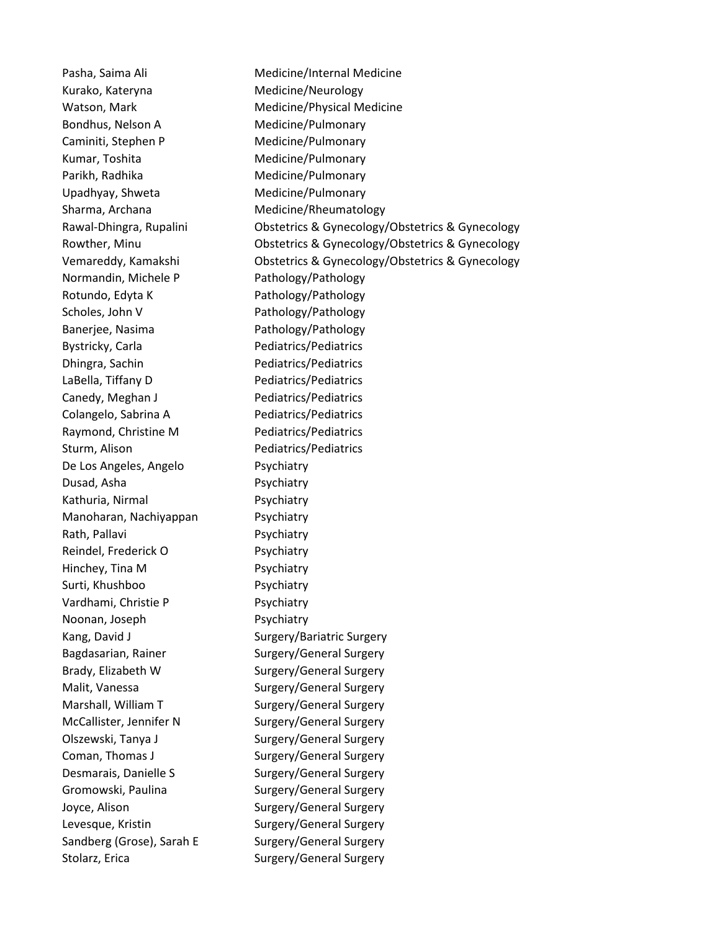Kurako, Kateryna **Medicine**/Neurology Watson, Mark Medicine/Physical Medicine Bondhus, Nelson A Medicine/Pulmonary Caminiti, Stephen P Medicine/Pulmonary Kumar, Toshita Medicine/Pulmonary Parikh, Radhika Medicine/Pulmonary Upadhyay, Shweta Medicine/Pulmonary Sharma, Archana Medicine/Rheumatology Normandin, Michele P Pathology/Pathology Rotundo, Edyta K Pathology/Pathology Scholes, John V Pathology/Pathology Banerjee, Nasima Pathology/Pathology Bystricky, Carla Pediatrics/Pediatrics Dhingra, Sachin Pediatrics/Pediatrics LaBella, Tiffany D Pediatrics/Pediatrics Canedy, Meghan J Pediatrics/Pediatrics Colangelo, Sabrina A Pediatrics/Pediatrics Raymond, Christine M Pediatrics/Pediatrics Sturm, Alison **Pediatrics** Pediatrics/Pediatrics De Los Angeles, Angelo Psychiatry Dusad, Asha **Psychiatry** Kathuria, Nirmal Psychiatry Manoharan, Nachiyappan Psychiatry Rath, Pallavi **Psychiatry** Reindel, Frederick O Psychiatry Hinchey, Tina M Psychiatry Surti, Khushboo Psychiatry Vardhami, Christie P Psychiatry Noonan, Joseph Psychiatry Kang, David J Surgery/Bariatric Surgery Bagdasarian, Rainer Surgery/General Surgery Brady, Elizabeth W Surgery/General Surgery Malit, Vanessa Surgery/General Surgery Marshall, William T Surgery/General Surgery McCallister, Jennifer N Surgery/General Surgery Olszewski, Tanya J Surgery/General Surgery Coman, Thomas J Surgery/General Surgery Desmarais, Danielle S<br>
Surgery/General Surgery Gromowski, Paulina Surgery/General Surgery Joyce, Alison Surgery/General Surgery Levesque, Kristin Surgery/General Surgery Sandberg (Grose), Sarah E Surgery/General Surgery Stolarz, Erica Surgery/General Surgery

Pasha, Saima Ali **Medicine** Medicine/Internal Medicine Rawal-Dhingra, Rupalini Obstetrics & Gynecology/Obstetrics & Gynecology Rowther, Minu Obstetrics & Gynecology/Obstetrics & Gynecology Vemareddy, Kamakshi Obstetrics & Gynecology/Obstetrics & Gynecology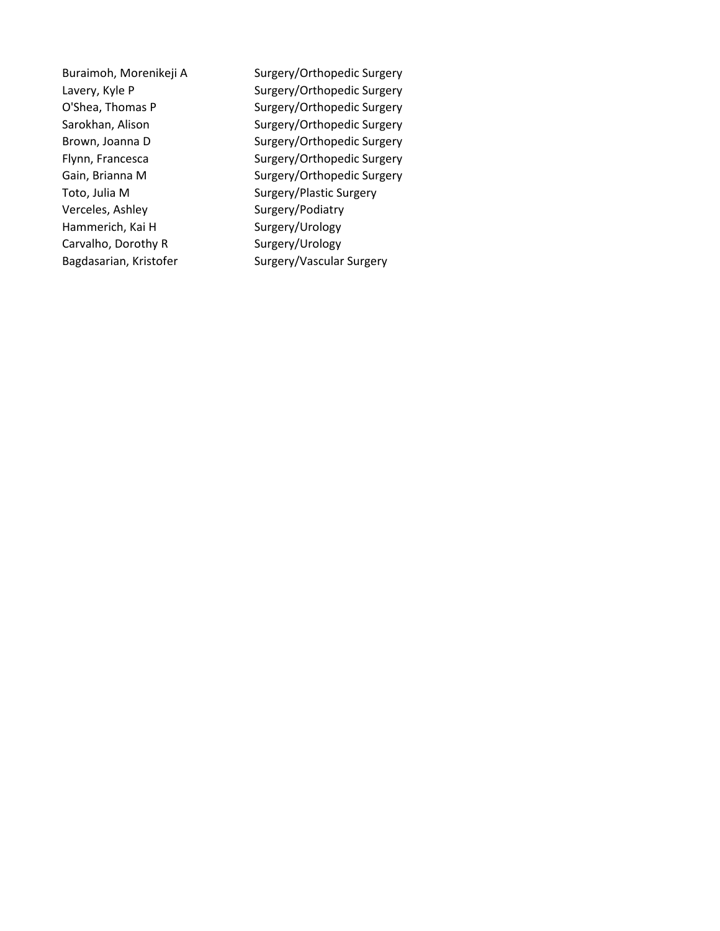Verceles, Ashley Surgery/Podiatry Hammerich, Kai H Surgery/Urology Carvalho, Dorothy R Surgery/Urology

Buraimoh, Morenikeji A Surgery/Orthopedic Surgery Lavery, Kyle P Surgery/Orthopedic Surgery O'Shea, Thomas P Surgery/Orthopedic Surgery Sarokhan, Alison Surgery/Orthopedic Surgery Brown, Joanna D Surgery/Orthopedic Surgery Flynn, Francesca Surgery/Orthopedic Surgery Gain, Brianna M Surgery/Orthopedic Surgery Toto, Julia M Surgery/Plastic Surgery Bagdasarian, Kristofer Surgery/Vascular Surgery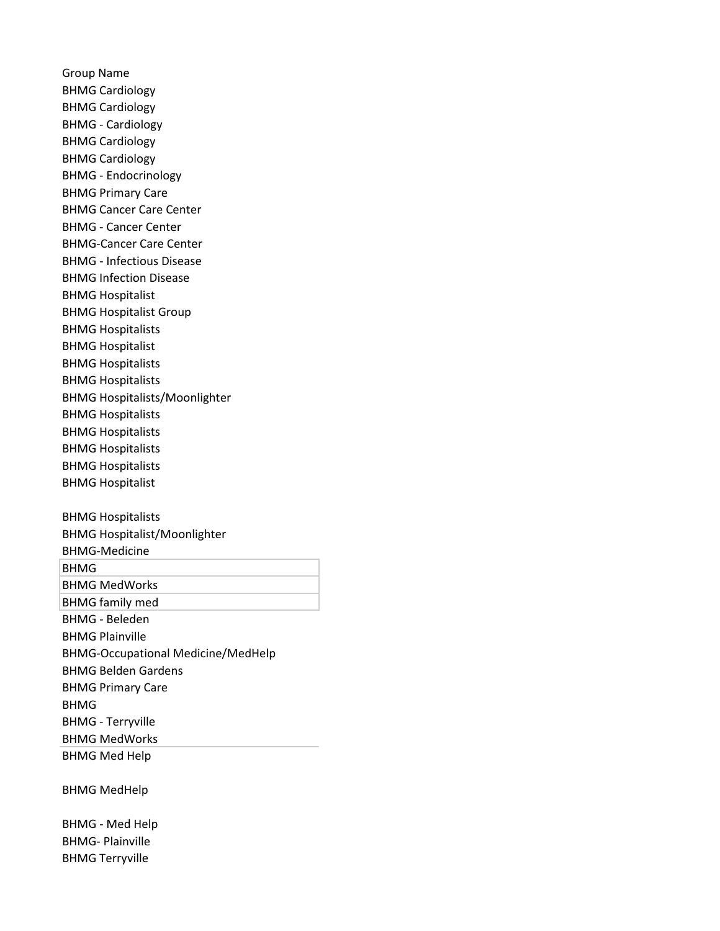Group Name BHMG Cardiology BHMG Cardiology BHMG - Cardiology BHMG Cardiology BHMG Cardiology BHMG - Endocrinology BHMG Primary Care BHMG Cancer Care Center BHMG - Cancer Center BHMG-Cancer Care Center BHMG - Infectious Disease BHMG Infection Disease BHMG Hospitalist BHMG Hospitalist Group BHMG Hospitalists BHMG Hospitalist BHMG Hospitalists BHMG Hospitalists BHMG Hospitalists/Moonlighter BHMG Hospitalists BHMG Hospitalists BHMG Hospitalists BHMG Hospitalists BHMG Hospitalist BHMG Hospitalists BHMG Hospitalist/Moonlighter BHMG-Medicine BHMG

BHMG MedWorks BHMG family med BHMG - Beleden BHMG Plainville BHMG-Occupational Medicine/MedHelp BHMG Belden Gardens BHMG Primary Care BHMG BHMG - Terryville BHMG MedWorks BHMG Med Help

BHMG MedHelp

BHMG - Med Help BHMG- Plainville BHMG Terryville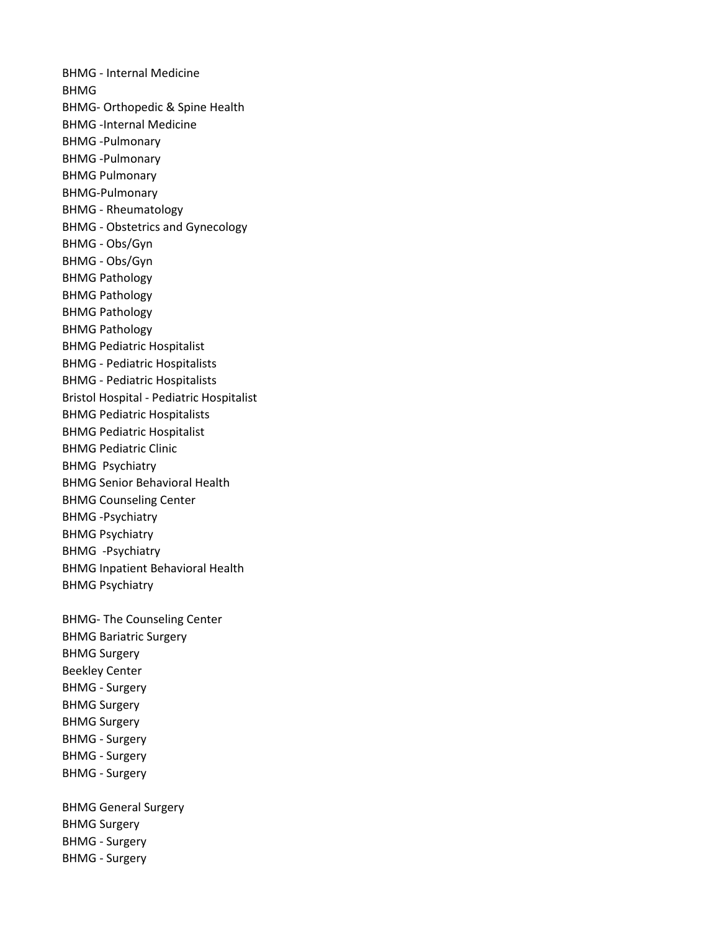BHMG - Internal Medicine BHMG BHMG- Orthopedic & Spine Health BHMG -Internal Medicine BHMG -Pulmonary BHMG -Pulmonary BHMG Pulmonary BHMG-Pulmonary BHMG - Rheumatology BHMG - Obstetrics and Gynecology BHMG - Obs/Gyn BHMG - Obs/Gyn BHMG Pathology BHMG Pathology BHMG Pathology BHMG Pathology BHMG Pediatric Hospitalist BHMG - Pediatric Hospitalists BHMG - Pediatric Hospitalists Bristol Hospital - Pediatric Hospitalist BHMG Pediatric Hospitalists BHMG Pediatric Hospitalist BHMG Pediatric Clinic BHMG Psychiatry BHMG Senior Behavioral Health BHMG Counseling Center BHMG -Psychiatry BHMG Psychiatry BHMG -Psychiatry BHMG Inpatient Behavioral Health BHMG Psychiatry BHMG- The Counseling Center BHMG Bariatric Surgery BHMG Surgery Beekley Center BHMG - Surgery BHMG Surgery BHMG Surgery BHMG - Surgery BHMG - Surgery BHMG - Surgery BHMG General Surgery BHMG Surgery BHMG - Surgery

BHMG - Surgery